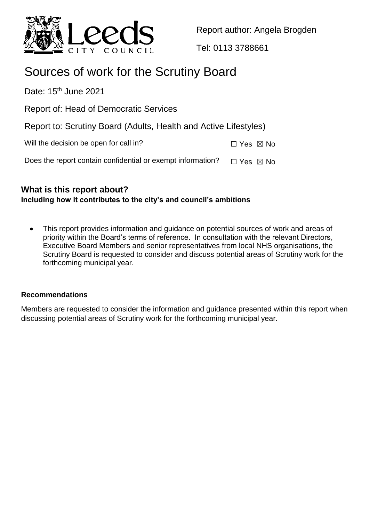

Report author: Angela Brogden

Tel: 0113 3788661

# Sources of work for the Scrutiny Board

Date:  $15<sup>th</sup>$  June 2021

Report of: Head of Democratic Services

Report to: Scrutiny Board (Adults, Health and Active Lifestyles)

| Will the decision be open for call in? | $\Box$ Yes $\boxtimes$ No |
|----------------------------------------|---------------------------|
|----------------------------------------|---------------------------|

Does the report contain confidential or exempt information?  $\Box$  Yes  $\boxtimes$  No

## **What is this report about? Including how it contributes to the city's and council's ambitions**

 This report provides information and guidance on potential sources of work and areas of priority within the Board's terms of reference. In consultation with the relevant Directors, Executive Board Members and senior representatives from local NHS organisations, the Scrutiny Board is requested to consider and discuss potential areas of Scrutiny work for the forthcoming municipal year.

## **Recommendations**

Members are requested to consider the information and guidance presented within this report when discussing potential areas of Scrutiny work for the forthcoming municipal year.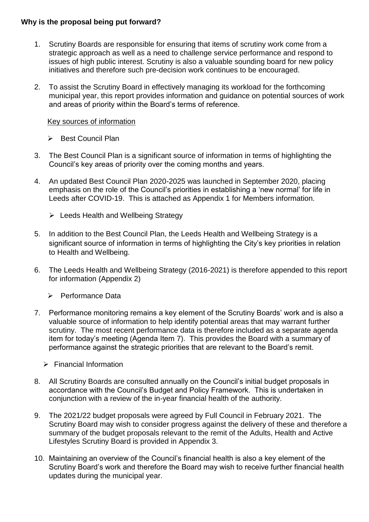#### **Why is the proposal being put forward?**

- 1. Scrutiny Boards are responsible for ensuring that items of scrutiny work come from a strategic approach as well as a need to challenge service performance and respond to issues of high public interest. Scrutiny is also a valuable sounding board for new policy initiatives and therefore such pre-decision work continues to be encouraged.
- 2. To assist the Scrutiny Board in effectively managing its workload for the forthcoming municipal year, this report provides information and guidance on potential sources of work and areas of priority within the Board's terms of reference.

#### Key sources of information

- ▶ Best Council Plan
- 3. The Best Council Plan is a significant source of information in terms of highlighting the Council's key areas of priority over the coming months and years.
- 4. An updated Best Council Plan 2020-2025 was launched in September 2020, placing emphasis on the role of the Council's priorities in establishing a 'new normal' for life in Leeds after COVID-19. This is attached as Appendix 1 for Members information.
	- $\triangleright$  Leeds Health and Wellbeing Strategy
- 5. In addition to the Best Council Plan, the Leeds Health and Wellbeing Strategy is a significant source of information in terms of highlighting the City's key priorities in relation to Health and Wellbeing.
- 6. The Leeds Health and Wellbeing Strategy (2016-2021) is therefore appended to this report for information (Appendix 2)
	- **EXECUTE:** Performance Data
- 7. Performance monitoring remains a key element of the Scrutiny Boards' work and is also a valuable source of information to help identify potential areas that may warrant further scrutiny. The most recent performance data is therefore included as a separate agenda item for today's meeting (Agenda Item 7). This provides the Board with a summary of performance against the strategic priorities that are relevant to the Board's remit.
	- $\triangleright$  Financial Information
- 8. All Scrutiny Boards are consulted annually on the Council's initial budget proposals in accordance with the Council's Budget and Policy Framework. This is undertaken in conjunction with a review of the in-year financial health of the authority.
- 9. The 2021/22 budget proposals were agreed by Full Council in February 2021. The Scrutiny Board may wish to consider progress against the delivery of these and therefore a summary of the budget proposals relevant to the remit of the Adults, Health and Active Lifestyles Scrutiny Board is provided in Appendix 3.
- 10. Maintaining an overview of the Council's financial health is also a key element of the Scrutiny Board's work and therefore the Board may wish to receive further financial health updates during the municipal year.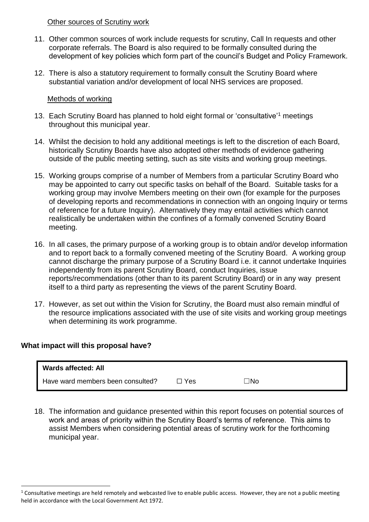#### Other sources of Scrutiny work

- 11. Other common sources of work include requests for scrutiny, Call In requests and other corporate referrals. The Board is also required to be formally consulted during the development of key policies which form part of the council's Budget and Policy Framework.
- 12. There is also a statutory requirement to formally consult the Scrutiny Board where substantial variation and/or development of local NHS services are proposed.

#### Methods of working

- 13. Each Scrutiny Board has planned to hold eight formal or 'consultative'<sup>1</sup> meetings throughout this municipal year.
- 14. Whilst the decision to hold any additional meetings is left to the discretion of each Board, historically Scrutiny Boards have also adopted other methods of evidence gathering outside of the public meeting setting, such as site visits and working group meetings.
- 15. Working groups comprise of a number of Members from a particular Scrutiny Board who may be appointed to carry out specific tasks on behalf of the Board. Suitable tasks for a working group may involve Members meeting on their own (for example for the purposes of developing reports and recommendations in connection with an ongoing Inquiry or terms of reference for a future Inquiry). Alternatively they may entail activities which cannot realistically be undertaken within the confines of a formally convened Scrutiny Board meeting.
- 16. In all cases, the primary purpose of a working group is to obtain and/or develop information and to report back to a formally convened meeting of the Scrutiny Board. A working group cannot discharge the primary purpose of a Scrutiny Board i.e. it cannot undertake Inquiries independently from its parent Scrutiny Board, conduct Inquiries, issue reports/recommendations (other than to its parent Scrutiny Board) or in any way present itself to a third party as representing the views of the parent Scrutiny Board.
- 17. However, as set out within the Vision for Scrutiny, the Board must also remain mindful of the resource implications associated with the use of site visits and working group meetings when determining its work programme.

#### **What impact will this proposal have?**

 $\overline{a}$ 

| <b>Wards affected: All</b>        |     |     |
|-----------------------------------|-----|-----|
| Have ward members been consulted? | Yes | ⊤No |

18. The information and guidance presented within this report focuses on potential sources of work and areas of priority within the Scrutiny Board's terms of reference. This aims to assist Members when considering potential areas of scrutiny work for the forthcoming municipal year.

 $1$  Consultative meetings are held remotely and webcasted live to enable public access. However, they are not a public meeting held in accordance with the Local Government Act 1972.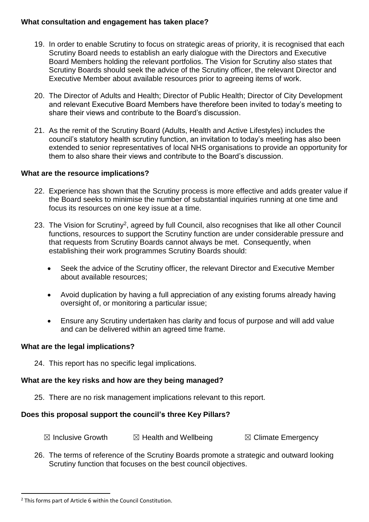#### **What consultation and engagement has taken place?**

- 19. In order to enable Scrutiny to focus on strategic areas of priority, it is recognised that each Scrutiny Board needs to establish an early dialogue with the Directors and Executive Board Members holding the relevant portfolios. The Vision for Scrutiny also states that Scrutiny Boards should seek the advice of the Scrutiny officer, the relevant Director and Executive Member about available resources prior to agreeing items of work.
- 20. The Director of Adults and Health; Director of Public Health; Director of City Development and relevant Executive Board Members have therefore been invited to today's meeting to share their views and contribute to the Board's discussion.
- 21. As the remit of the Scrutiny Board (Adults, Health and Active Lifestyles) includes the council's statutory health scrutiny function, an invitation to today's meeting has also been extended to senior representatives of local NHS organisations to provide an opportunity for them to also share their views and contribute to the Board's discussion.

#### **What are the resource implications?**

- 22. Experience has shown that the Scrutiny process is more effective and adds greater value if the Board seeks to minimise the number of substantial inquiries running at one time and focus its resources on one key issue at a time.
- 23. The Vision for Scrutiny<sup>2</sup>, agreed by full Council, also recognises that like all other Council functions, resources to support the Scrutiny function are under considerable pressure and that requests from Scrutiny Boards cannot always be met. Consequently, when establishing their work programmes Scrutiny Boards should:
	- Seek the advice of the Scrutiny officer, the relevant Director and Executive Member about available resources;
	- Avoid duplication by having a full appreciation of any existing forums already having oversight of, or monitoring a particular issue;
	- Ensure any Scrutiny undertaken has clarity and focus of purpose and will add value and can be delivered within an agreed time frame.

#### **What are the legal implications?**

24. This report has no specific legal implications.

## **What are the key risks and how are they being managed?**

25. There are no risk management implications relevant to this report.

## **Does this proposal support the council's three Key Pillars?**

- $\boxtimes$  Inclusive Growth  $\boxtimes$  Health and Wellbeing  $\boxtimes$  Climate Emergency
- 26. The terms of reference of the Scrutiny Boards promote a strategic and outward looking Scrutiny function that focuses on the best council objectives.

 $\ddot{\phantom{a}}$ 

<sup>&</sup>lt;sup>2</sup> This forms part of Article 6 within the Council Constitution.